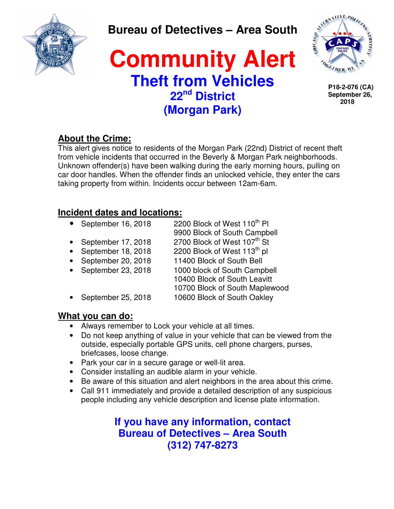

**Bureau of Detectives – Area South** 

## **Community Alert Theft from Vehicles 22nd District (Morgan Park)**



 **P18-2-076 (CA) September 26, 2018**

### **About the Crime:**

This alert gives notice to residents of the Morgan Park (22nd) District of recent theft from vehicle incidents that occurred in the Beverly & Morgan Park neighborhoods. Unknown offender(s) have been walking during the early morning hours, pulling on car door handles. When the offender finds an unlocked vehicle, they enter the cars taking property from within. Incidents occur between 12am-6am.

### **Incident dates and locations:**

- September 16, 2018  $2200$  Block of West 110<sup>th</sup> PI
	- 9900 Block of South Campbell
- September 17, 2018 2700 Block of West  $107<sup>th</sup>$  St
- 
- September 20, 2018 11400 Block of South Bell
- 
- September 18, 2018 2200 Block of West  $113<sup>th</sup>$  pl
- September 23, 2018 1000 block of South Campbell
	- 10400 Block of South Leavitt
	- 10700 Block of South Maplewood
- September 25, 2018 10600 Block of South Oakley

### **What you can do:**

- Always remember to Lock your vehicle at all times.
- Do not keep anything of value in your vehicle that can be viewed from the outside, especially portable GPS units, cell phone chargers, purses, briefcases, loose change.
- Park your car in a secure garage or well-lit area.
- Consider installing an audible alarm in your vehicle.
- Be aware of this situation and alert neighbors in the area about this crime.
- Call 911 immediately and provide a detailed description of any suspicious people including any vehicle description and license plate information.

**If you have any information, contact Bureau of Detectives – Area South (312) 747-8273**